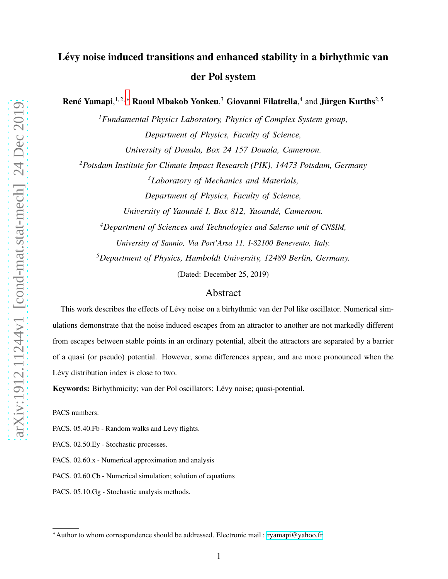René Yamapi,  $^{1,2,*}$  Raoul Mbakob Yonkeu,  $^3$  Giovanni Filatrella,  $^4$  and Jürgen Kurths $^{2,5}$ 

*<sup>1</sup>Fundamental Physics Laboratory, Physics of Complex System group, Department of Physics, Faculty of Science, University of Douala, Box 24 157 Douala, Cameroon. <sup>2</sup>Potsdam Institute for Climate Impact Research (PIK), 14473 Potsdam, Germany <sup>3</sup>Laboratory of Mechanics and Materials,*

*Department of Physics, Faculty of Science,*

*University of Yaoundé I, Box 812, Yaoundé, Cameroon.* 

*<sup>4</sup>Department of Sciences and Technologies and Salerno unit of CNSIM, University of Sannio, Via Port'Arsa 11, I-82100 Benevento, Italy. <sup>5</sup>Department of Physics, Humboldt University, 12489 Berlin, Germany.*

(Dated: December 25, 2019)

# Abstract

This work describes the effects of Lévy noise on a birhythmic van der Pol like oscillator. Numerical simulations demonstrate that the noise induced escapes from an attractor to another are not markedly different from escapes between stable points in an ordinary potential, albeit the attractors are separated by a barrier of a quasi (or pseudo) potential. However, some differences appear, and are more pronounced when the Lévy distribution index is close to two.

Keywords: Birhythmicity; van der Pol oscillators; Lévy noise; quasi-potential.

PACS numbers:

PACS. 05.40.Fb - Random walks and Levy flights.

PACS. 02.50.Ey - Stochastic processes.

PACS. 02.60.x - Numerical approximation and analysis

PACS. 02.60.Cb - Numerical simulation; solution of equations

PACS. 05.10.Gg - Stochastic analysis methods.

<span id="page-0-0"></span><sup>∗</sup>Author to whom correspondence should be addressed. Electronic mail : [ryamapi@yahoo.fr](mailto:ryamapi@yahoo.fr)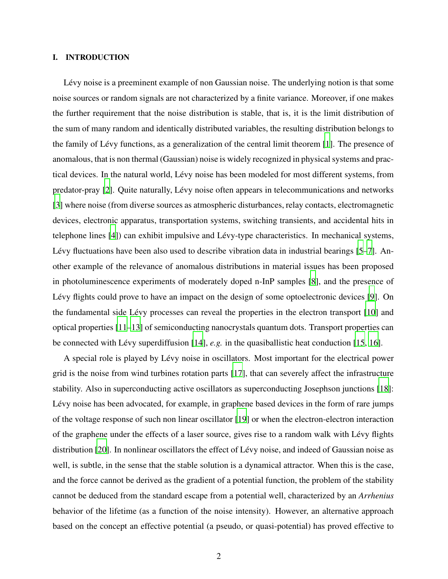## I. INTRODUCTION

Lévy noise is a preeminent example of non Gaussian noise. The underlying notion is that some noise sources or random signals are not characterized by a finite variance. Moreover, if one makes the further requirement that the noise distribution is stable, that is, it is the limit distribution of the sum of many random and identically distributed variables, the resulting distribution belongs to the family of Lévy functions, as a generalization of the central limit theorem [\[1\]](#page-18-0). The presence of anomalous, that is non thermal (Gaussian) noise is widely recognized in physical systems and practical devices. In the natural world, L´evy noise has been modeled for most different systems, from predator-pray [\[2\]](#page-18-1). Quite naturally, Lévy noise often appears in telecommunications and networks [\[3\]](#page-18-2) where noise (from diverse sources as atmospheric disturbances, relay contacts, electromagnetic devices, electronic apparatus, transportation systems, switching transients, and accidental hits in telephone lines [\[4\]](#page-18-3)) can exhibit impulsive and Lévy-type characteristics. In mechanical systems, Lévy fluctuations have been also used to describe vibration data in industrial bearings  $[5-7]$  $[5-7]$ . Another example of the relevance of anomalous distributions in material issues has been proposed in photoluminescence experiments of moderately doped n-InP samples [\[8\]](#page-18-6), and the presence of Lévy flights could prove to have an impact on the design of some optoelectronic devices [\[9\]](#page-18-7). On the fundamental side Lévy processes can reveal the properties in the electron transport [\[10](#page-18-8)] and optical properties [\[11](#page-18-9)[–13\]](#page-18-10) of semiconducting nanocrystals quantum dots. Transport properties can be connected with Lévy superdiffusion [\[14](#page-18-11)], *e.g.* in the quasiballistic heat conduction [\[15,](#page-18-12) [16\]](#page-18-13).

A special role is played by Lévy noise in oscillators. Most important for the electrical power grid is the noise from wind turbines rotation parts [\[17](#page-18-14)], that can severely affect the infrastructure stability. Also in superconducting active oscillators as superconducting Josephson junctions [\[18](#page-18-15)]: Lévy noise has been advocated, for example, in graphene based devices in the form of rare jumps of the voltage response of such non linear oscillator [\[19](#page-19-0)] or when the electron-electron interaction of the graphene under the effects of a laser source, gives rise to a random walk with Lévy flights distribution [\[20\]](#page-19-1). In nonlinear oscillators the effect of Lévy noise, and indeed of Gaussian noise as well, is subtle, in the sense that the stable solution is a dynamical attractor. When this is the case, and the force cannot be derived as the gradient of a potential function, the problem of the stability cannot be deduced from the standard escape from a potential well, characterized by an *Arrhenius* behavior of the lifetime (as a function of the noise intensity). However, an alternative approach based on the concept an effective potential (a pseudo, or quasi-potential) has proved effective to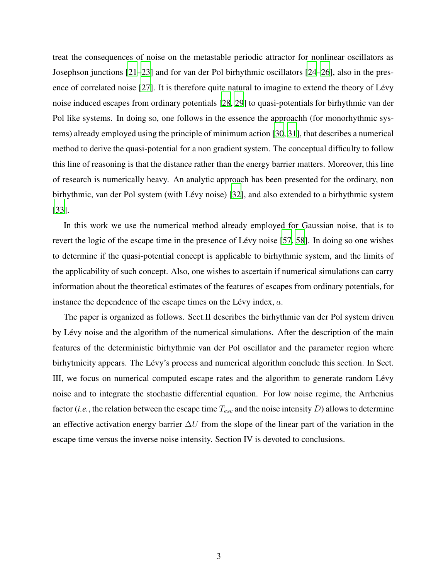treat the consequences of noise on the metastable periodic attractor for nonlinear oscillators as Josephson junctions [\[21](#page-19-2)[–23\]](#page-19-3) and for van der Pol birhythmic oscillators [\[24](#page-19-4)[–26\]](#page-19-5), also in the pres-ence of correlated noise [\[27](#page-19-6)]. It is therefore quite natural to imagine to extend the theory of Lévy noise induced escapes from ordinary potentials [\[28](#page-19-7), [29](#page-19-8)] to quasi-potentials for birhythmic van der Pol like systems. In doing so, one follows in the essence the approachh (for monorhythmic systems) already employed using the principle of minimum action [\[30](#page-19-9), [31\]](#page-19-10), that describes a numerical method to derive the quasi-potential for a non gradient system. The conceptual difficulty to follow this line of reasoning is that the distance rather than the energy barrier matters. Moreover, this line of research is numerically heavy. An analytic approach has been presented for the ordinary, non birhythmic, van der Pol system (with Lévy noise) [\[32](#page-19-11)], and also extended to a birhythmic system [\[33\]](#page-19-12).

In this work we use the numerical method already employed for Gaussian noise, that is to revert the logic of the escape time in the presence of Lévy noise [\[57,](#page-21-0) [58\]](#page-21-1). In doing so one wishes to determine if the quasi-potential concept is applicable to birhythmic system, and the limits of the applicability of such concept. Also, one wishes to ascertain if numerical simulations can carry information about the theoretical estimates of the features of escapes from ordinary potentials, for instance the dependence of the escape times on the Lévy index,  $a$ .

The paper is organized as follows. Sect.II describes the birhythmic van der Pol system driven by Lévy noise and the algorithm of the numerical simulations. After the description of the main features of the deterministic birhythmic van der Pol oscillator and the parameter region where birhytmicity appears. The Lévy's process and numerical algorithm conclude this section. In Sect. III, we focus on numerical computed escape rates and the algorithm to generate random L´evy noise and to integrate the stochastic differential equation. For low noise regime, the Arrhenius factor (*i.e.*, the relation between the escape time  $T_{esc}$  and the noise intensity D) allows to determine an effective activation energy barrier  $\Delta U$  from the slope of the linear part of the variation in the escape time versus the inverse noise intensity. Section IV is devoted to conclusions.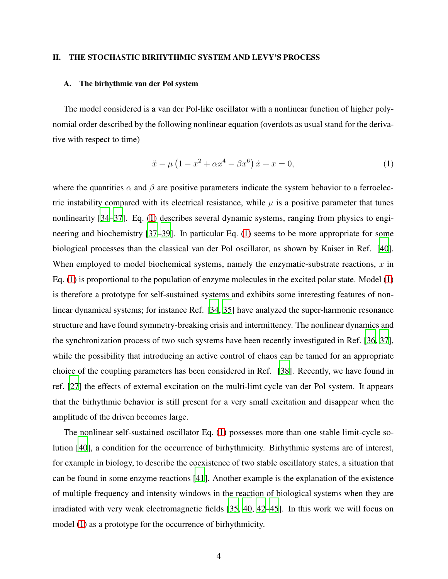## II. THE STOCHASTIC BIRHYTHMIC SYSTEM AND LEVY'S PROCESS

#### A. The birhythmic van der Pol system

The model considered is a van der Pol-like oscillator with a nonlinear function of higher polynomial order described by the following nonlinear equation (overdots as usual stand for the derivative with respect to time)

<span id="page-3-0"></span>
$$
\ddot{x} - \mu \left( 1 - x^2 + \alpha x^4 - \beta x^6 \right) \dot{x} + x = 0,\tag{1}
$$

where the quantities  $\alpha$  and  $\beta$  are positive parameters indicate the system behavior to a ferroelectric instability compared with its electrical resistance, while  $\mu$  is a positive parameter that tunes nonlinearity [\[34](#page-19-13)[–37\]](#page-20-0). Eq. [\(1\)](#page-3-0) describes several dynamic systems, ranging from physics to engineering and biochemistry [\[37](#page-20-0)[–39\]](#page-20-1). In particular Eq. [\(1\)](#page-3-0) seems to be more appropriate for some biological processes than the classical van der Pol oscillator, as shown by Kaiser in Ref. [\[40](#page-20-2)]. When employed to model biochemical systems, namely the enzymatic-substrate reactions,  $x$  in Eq. [\(1\)](#page-3-0) is proportional to the population of enzyme molecules in the excited polar state. Model [\(1\)](#page-3-0) is therefore a prototype for self-sustained systems and exhibits some interesting features of nonlinear dynamical systems; for instance Ref. [\[34](#page-19-13), [35](#page-20-3)] have analyzed the super-harmonic resonance structure and have found symmetry-breaking crisis and intermittency. The nonlinear dynamics and the synchronization process of two such systems have been recently investigated in Ref. [\[36](#page-20-4), [37](#page-20-0)], while the possibility that introducing an active control of chaos can be tamed for an appropriate choice of the coupling parameters has been considered in Ref. [\[38](#page-20-5)]. Recently, we have found in ref. [\[27\]](#page-19-6) the effects of external excitation on the multi-limt cycle van der Pol system. It appears that the birhythmic behavior is still present for a very small excitation and disappear when the amplitude of the driven becomes large.

The nonlinear self-sustained oscillator Eq. [\(1\)](#page-3-0) possesses more than one stable limit-cycle solution [\[40\]](#page-20-2), a condition for the occurrence of birhythmicity. Birhythmic systems are of interest, for example in biology, to describe the coexistence of two stable oscillatory states, a situation that can be found in some enzyme reactions [\[41\]](#page-20-6). Another example is the explanation of the existence of multiple frequency and intensity windows in the reaction of biological systems when they are irradiated with very weak electromagnetic fields [\[35,](#page-20-3) [40,](#page-20-2) [42](#page-20-7)[–45](#page-20-8)]. In this work we will focus on model [\(1\)](#page-3-0) as a prototype for the occurrence of birhythmicity.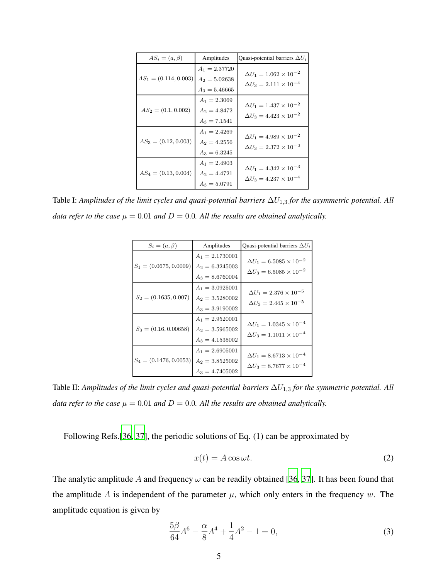| $AS_i = (a, \beta)$     | Amplitudes                                            | Quasi-potential barriers $\Delta U_i$                                      |
|-------------------------|-------------------------------------------------------|----------------------------------------------------------------------------|
| $AS_1 = (0.114, 0.003)$ | $A_1 = 2.37720$<br>$A_2 = 5.02638$<br>$A_3 = 5.46665$ | $\Delta U_1 = 1.062 \times 10^{-2}$<br>$\Delta U_3 = 2.111 \times 10^{-4}$ |
| $AS_2 = (0.1, 0.002)$   | $A_1 = 2.3069$<br>$A_2 = 4.8472$<br>$A_3 = 7.1541$    | $\Delta U_1 = 1.437 \times 10^{-2}$<br>$\Delta U_3 = 4.423 \times 10^{-2}$ |
| $AS_3 = (0.12, 0.003)$  | $A_1 = 2.4269$<br>$A_2 = 4.2556$<br>$A_3 = 6.3245$    | $\Delta U_1 = 4.989 \times 10^{-2}$<br>$\Delta U_3 = 2.372 \times 10^{-2}$ |
| $AS_4 = (0.13, 0.004)$  | $A_1 = 2.4903$<br>$A_2 = 4.4721$<br>$A_3 = 5.0791$    | $\Delta U_1 = 4.342 \times 10^{-3}$<br>$\Delta U_3 = 4.237 \times 10^{-4}$ |

<span id="page-4-0"></span>Table I: *Amplitudes of the limit cycles and quasi-potential barriers* ∆U1,<sup>3</sup> *for the asymmetric potential. All data refer to the case*  $\mu = 0.01$  *and*  $D = 0.0$ *. All the results are obtained analytically.* 

| $S_i = (a, \beta)$       | Amplitudes                                                  | Quasi-potential barriers $\Delta U_i$                                        |
|--------------------------|-------------------------------------------------------------|------------------------------------------------------------------------------|
| $S_1 = (0.0675, 0.0009)$ | $A_1 = 2.1730001$<br>$A_2 = 6.3245003$<br>$A_3 = 8.6760004$ | $\Delta U_1 = 6.5085 \times 10^{-2}$<br>$\Delta U_3 = 6.5085 \times 10^{-2}$ |
| $S_2 = (0.1635, 0.007)$  | $A_1 = 3.0925001$<br>$A_2 = 3.5280002$<br>$A_3 = 3.9190002$ | $\Delta U_1 = 2.376 \times 10^{-5}$<br>$\Delta U_3 = 2.445 \times 10^{-5}$   |
| $S_3 = (0.16, 0.00658)$  | $A_1 = 2.9520001$<br>$A_2 = 3.5965002$<br>$A_3 = 4.1535002$ | $\Delta U_1 = 1.0345 \times 10^{-4}$<br>$\Delta U_3 = 1.1011 \times 10^{-4}$ |
| $S_4 = (0.1476, 0.0053)$ | $A_1 = 2.6905001$<br>$A_2 = 3.8525002$<br>$A_3 = 4.7405002$ | $\Delta U_1 = 8.6713 \times 10^{-4}$<br>$\Delta U_3 = 8.7677 \times 10^{-4}$ |

<span id="page-4-1"></span>Table II: *Amplitudes of the limit cycles and quasi-potential barriers*  $\Delta U_{1,3}$  *for the symmetric potential. All data refer to the case*  $\mu = 0.01$  *and*  $D = 0.0$ *. All the results are obtained analytically.* 

Following Refs.[\[36](#page-20-4), [37](#page-20-0)], the periodic solutions of Eq. (1) can be approximated by

<span id="page-4-2"></span>
$$
x(t) = A\cos\omega t.
$$
 (2)

The analytic amplitude A and frequency  $\omega$  can be readily obtained [\[36,](#page-20-4) [37\]](#page-20-0). It has been found that the amplitude A is independent of the parameter  $\mu$ , which only enters in the frequency w. The amplitude equation is given by

<span id="page-4-3"></span>
$$
\frac{5\beta}{64}A^6 - \frac{\alpha}{8}A^4 + \frac{1}{4}A^2 - 1 = 0,\tag{3}
$$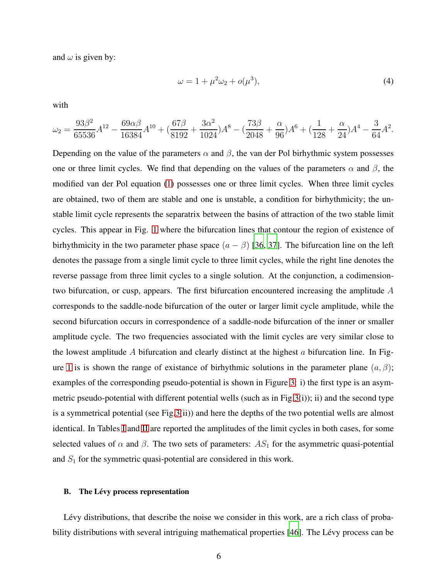and  $\omega$  is given by:

$$
\omega = 1 + \mu^2 \omega_2 + o(\mu^3),\tag{4}
$$

with

$$
\omega_2 = \frac{93\beta^2}{65536}A^{12} - \frac{69\alpha\beta}{16384}A^{10} + \left(\frac{67\beta}{8192} + \frac{3\alpha^2}{1024}\right)A^8 - \left(\frac{73\beta}{2048} + \frac{\alpha}{96}\right)A^6 + \left(\frac{1}{128} + \frac{\alpha}{24}\right)A^4 - \frac{3}{64}A^2.
$$

Depending on the value of the parameters  $\alpha$  and  $\beta$ , the van der Pol birhythmic system possesses one or three limit cycles. We find that depending on the values of the parameters  $\alpha$  and  $\beta$ , the modified van der Pol equation [\(1\)](#page-3-0) possesses one or three limit cycles. When three limit cycles are obtained, two of them are stable and one is unstable, a condition for birhythmicity; the unstable limit cycle represents the separatrix between the basins of attraction of the two stable limit cycles. This appear in Fig. [1](#page-22-0) where the bifurcation lines that contour the region of existence of birhythmicity in the two parameter phase space  $(a - \beta)$  [\[36](#page-20-4), [37\]](#page-20-0). The bifurcation line on the left denotes the passage from a single limit cycle to three limit cycles, while the right line denotes the reverse passage from three limit cycles to a single solution. At the conjunction, a codimensiontwo bifurcation, or cusp, appears. The first bifurcation encountered increasing the amplitude  $A$ corresponds to the saddle-node bifurcation of the outer or larger limit cycle amplitude, while the second bifurcation occurs in correspondence of a saddle-node bifurcation of the inner or smaller amplitude cycle. The two frequencies associated with the limit cycles are very similar close to the lowest amplitude A bifurcation and clearly distinct at the highest  $\alpha$  bifurcation line. In Fig-ure [1](#page-22-0) is is shown the range of existance of birhythmic solutions in the parameter plane  $(a, \beta)$ ; examples of the corresponding pseudo-potential is shown in Figure [3:](#page-23-0) i) the first type is an asymmetric pseudo-potential with different potential wells (such as in Fig[.3\(](#page-23-0)i)); ii) and the second type is a symmetrical potential (see Fig[.3\(](#page-23-0)ii)) and here the depths of the two potential wells are almost identical. In Tables [I](#page-4-0) and [II](#page-4-1) are reported the amplitudes of the limit cycles in both cases, for some selected values of  $\alpha$  and  $\beta$ . The two sets of parameters:  $AS_1$  for the asymmetric quasi-potential and  $S_1$  for the symmetric quasi-potential are considered in this work.

### B. The Lévy process representation

Lévy distributions, that describe the noise we consider in this work, are a rich class of proba-bility distributions with several intriguing mathematical properties [\[46](#page-20-9)]. The Lévy process can be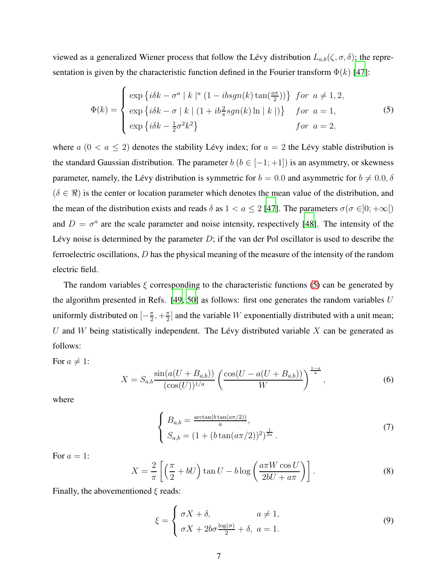viewed as a generalized Wiener process that follow the Lévy distribution  $L_{a,b}(\zeta, \sigma, \delta)$ ; the representation is given by the characteristic function defined in the Fourier transform  $\Phi(k)$  [\[47\]](#page-20-10):

<span id="page-6-0"></span>
$$
\Phi(k) = \begin{cases}\n\exp\left\{i\delta k - \sigma^a \mid k \mid^a (1 - ibsgn(k)\tan(\frac{a\pi}{2}))\right\} & \text{for } a \neq 1, 2, \\
\exp\left\{i\delta k - \sigma \mid k \mid (1 + ib_{\pi}^2 sgn(k)\ln|\ k|)\right\} & \text{for } a = 1, \\
\exp\left\{i\delta k - \frac{1}{2}\sigma^2 k^2\right\} & \text{for } a = 2,\n\end{cases}\n\tag{5}
$$

where  $a (0 < a \le 2)$  denotes the stability Lévy index; for  $a = 2$  the Lévy stable distribution is the standard Gaussian distribution. The parameter  $b$  ( $b \in [-1, +1]$ ) is an asymmetry, or skewness parameter, namely, the Lévy distribution is symmetric for  $b = 0.0$  and asymmetric for  $b \neq 0.0, \delta$  $(\delta \in \mathcal{R})$  is the center or location parameter which denotes the mean value of the distribution, and the mean of the distribution exists and reads  $\delta$  as  $1 < a \leq 2$  [\[47\]](#page-20-10). The parameters  $\sigma(\sigma \in ]0; +\infty[$ and  $D = \sigma^a$  are the scale parameter and noise intensity, respectively [\[48](#page-20-11)]. The intensity of the Lévy noise is determined by the parameter  $D$ ; if the van der Pol oscillator is used to describe the ferroelectric oscillations, D has the physical meaning of the measure of the intensity of the random electric field.

The random variables  $\xi$  corresponding to the characteristic functions [\(5\)](#page-6-0) can be generated by the algorithm presented in Refs.  $[49, 50]$  $[49, 50]$  as follows: first one generates the random variables U uniformly distributed on  $\left[-\frac{\pi}{2}\right]$  $\frac{\pi}{2}, +\frac{\pi}{2}$  $\frac{\pi}{2}$  and the variable W exponentially distributed with a unit mean; U and W being statistically independent. The Lévy distributed variable  $X$  can be generated as follows:

For  $a \neq 1$ :

$$
X = S_{a,b} \frac{\sin(a(U + B_{a,b}))}{(\cos(U))^{1/a}} \left( \frac{\cos(U - a(U + B_{a,b}))}{W} \right)^{\frac{1-a}{a}}, \tag{6}
$$

where

$$
\begin{cases}\nB_{a,b} = \frac{\arctan(b\tan(a\pi/2))}{a}, \\
S_{a,b} = (1 + (b\tan(a\pi/2))^2)^{\frac{1}{2a}}.\n\end{cases}
$$
\n(7)

For  $a = 1$ :

$$
X = \frac{2}{\pi} \left[ \left( \frac{\pi}{2} + bU \right) \tan U - b \log \left( \frac{a \pi W \cos U}{2bU + a\pi} \right) \right].
$$
 (8)

Finally, the abovementioned  $\xi$  reads:

<span id="page-6-1"></span>
$$
\xi = \begin{cases} \sigma X + \delta, & a \neq 1, \\ \sigma X + 2b\sigma \frac{\log(\sigma)}{2} + \delta, & a = 1. \end{cases}
$$
(9)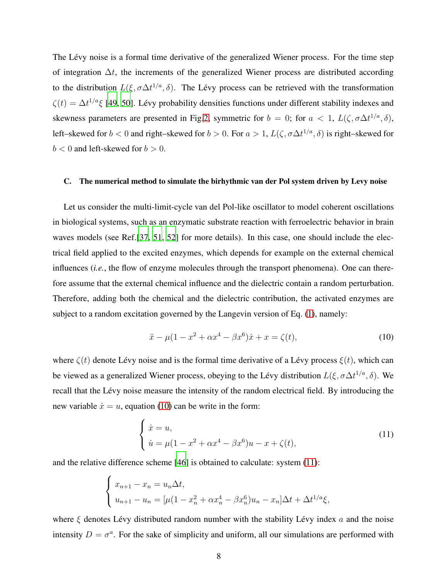The Lévy noise is a formal time derivative of the generalized Wiener process. For the time step of integration  $\Delta t$ , the increments of the generalized Wiener process are distributed according to the distribution  $L(\xi, \sigma \Delta t^{1/a}, \delta)$ . The Lévy process can be retrieved with the transformation  $\zeta(t) = \Delta t^{1/a} \xi$  [\[49](#page-20-12), [50](#page-21-2)]. Lévy probability densities functions under different stability indexes and skewness parameters are presented in Fig[.2,](#page-22-1) symmetric for  $b = 0$ ; for  $a < 1$ ,  $L(\zeta, \sigma \Delta t^{1/a}, \delta)$ , left–skewed for  $b < 0$  and right–skewed for  $b > 0$ . For  $a > 1$ ,  $L(\zeta, \sigma \Delta t^{1/a}, \delta)$  is right–skewed for  $b < 0$  and left-skewed for  $b > 0$ .

## C. The numerical method to simulate the birhythmic van der Pol system driven by Levy noise

Let us consider the multi-limit-cycle van del Pol-like oscillator to model coherent oscillations in biological systems, such as an enzymatic substrate reaction with ferroelectric behavior in brain waves models (see Ref.[\[37,](#page-20-0) [51,](#page-21-3) [52](#page-21-4)] for more details). In this case, one should include the electrical field applied to the excited enzymes, which depends for example on the external chemical influences (*i.e.*, the flow of enzyme molecules through the transport phenomena). One can therefore assume that the external chemical influence and the dielectric contain a random perturbation. Therefore, adding both the chemical and the dielectric contribution, the activated enzymes are subject to a random excitation governed by the Langevin version of Eq. [\(1\)](#page-3-0), namely:

<span id="page-7-0"></span>
$$
\ddot{x} - \mu(1 - x^2 + \alpha x^4 - \beta x^6)\dot{x} + x = \zeta(t),\tag{10}
$$

where  $\zeta(t)$  denote Lévy noise and is the formal time derivative of a Lévy process  $\xi(t)$ , which can be viewed as a generalized Wiener process, obeying to the Lévy distribution  $L(\xi, \sigma \Delta t^{1/a}, \delta)$ . We recall that the Lévy noise measure the intensity of the random electrical field. By introducing the new variable  $\dot{x} = u$ , equation [\(10\)](#page-7-0) can be write in the form:

<span id="page-7-1"></span>
$$
\begin{cases} \n\dot{x} = u, \\
\dot{u} = \mu(1 - x^2 + \alpha x^4 - \beta x^6)u - x + \zeta(t),\n\end{cases} \tag{11}
$$

and the relative difference scheme [\[46](#page-20-9)] is obtained to calculate: system [\(11\)](#page-7-1):

$$
\begin{cases}\nx_{n+1} - x_n = u_n \Delta t, \\
u_{n+1} - u_n = [\mu(1 - x_n^2 + \alpha x_n^4 - \beta x_n^6)u_n - x_n] \Delta t + \Delta t^{1/a} \xi,\n\end{cases}
$$

where  $\xi$  denotes Lévy distributed random number with the stability Lévy index a and the noise intensity  $D = \sigma^a$ . For the sake of simplicity and uniform, all our simulations are performed with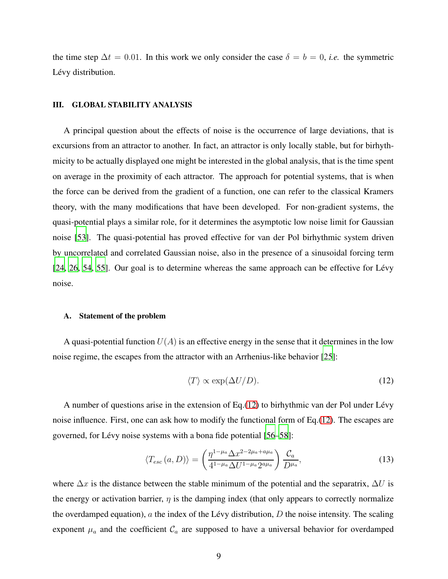the time step  $\Delta t = 0.01$ . In this work we only consider the case  $\delta = b = 0$ , *i.e.* the symmetric Lévy distribution.

## III. GLOBAL STABILITY ANALYSIS

A principal question about the effects of noise is the occurrence of large deviations, that is excursions from an attractor to another. In fact, an attractor is only locally stable, but for birhythmicity to be actually displayed one might be interested in the global analysis, that is the time spent on average in the proximity of each attractor. The approach for potential systems, that is when the force can be derived from the gradient of a function, one can refer to the classical Kramers theory, with the many modifications that have been developed. For non-gradient systems, the quasi-potential plays a similar role, for it determines the asymptotic low noise limit for Gaussian noise [\[53\]](#page-21-5). The quasi-potential has proved effective for van der Pol birhythmic system driven by uncorrelated and correlated Gaussian noise, also in the presence of a sinusoidal forcing term  $[24, 26, 54, 55]$  $[24, 26, 54, 55]$  $[24, 26, 54, 55]$  $[24, 26, 54, 55]$  $[24, 26, 54, 55]$ . Our goal is to determine whereas the same approach can be effective for Lévy noise.

#### A. Statement of the problem

A quasi-potential function  $U(A)$  is an effective energy in the sense that it determines in the low noise regime, the escapes from the attractor with an Arrhenius-like behavior [\[25\]](#page-19-14):

<span id="page-8-1"></span><span id="page-8-0"></span>
$$
\langle T \rangle \propto \exp(\Delta U/D). \tag{12}
$$

A number of questions arise in the extension of  $Eq.(12)$  $Eq.(12)$  to birhythmic van der Pol under Lévy noise influence. First, one can ask how to modify the functional form of Eq.[\(12\)](#page-8-0). The escapes are governed, for Lévy noise systems with a bona fide potential [\[56](#page-21-8)[–58](#page-21-1)]:

$$
\langle T_{esc}(a, D) \rangle = \left( \frac{\eta^{1 - \mu_a} \Delta x^{2 - 2\mu_a + a\mu_a}}{4^{1 - \mu_a} \Delta U^{1 - \mu_a} 2^{a\mu_a}} \right) \frac{\mathcal{C}_a}{D^{\mu_a}},\tag{13}
$$

where  $\Delta x$  is the distance between the stable minimum of the potential and the separatrix,  $\Delta U$  is the energy or activation barrier,  $\eta$  is the damping index (that only appears to correctly normalize the overdamped equation),  $\alpha$  the index of the Lévy distribution,  $D$  the noise intensity. The scaling exponent  $\mu_a$  and the coefficient  $\mathcal{C}_a$  are supposed to have a universal behavior for overdamped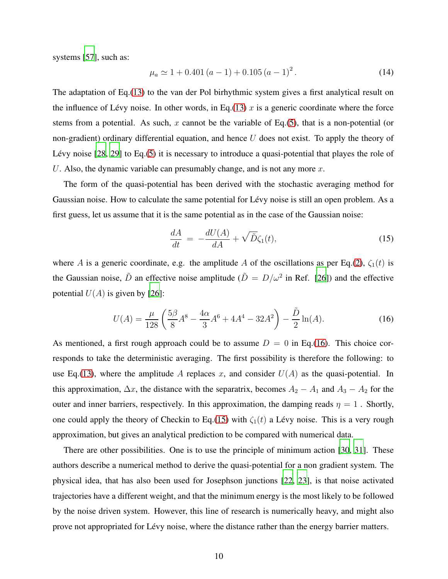systems [\[57\]](#page-21-0), such as:

<span id="page-9-2"></span>
$$
\mu_a \simeq 1 + 0.401 (a - 1) + 0.105 (a - 1)^2. \tag{14}
$$

The adaptation of Eq.[\(13\)](#page-8-1) to the van der Pol birhythmic system gives a first analytical result on the influence of Lévy noise. In other words, in Eq.[\(13\)](#page-8-1) x is a generic coordinate where the force stems from a potential. As such, x cannot be the variable of Eq.[\(5\)](#page-6-0), that is a non-potential (or non-gradient) ordinary differential equation, and hence  $U$  does not exist. To apply the theory of Lévy noise  $[28, 29]$  $[28, 29]$  to Eq.[\(5\)](#page-6-0) it is necessary to introduce a quasi-potential that playes the role of U. Also, the dynamic variable can presumably change, and is not any more  $x$ .

The form of the quasi-potential has been derived with the stochastic averaging method for Gaussian noise. How to calculate the same potential for Lévy noise is still an open problem. As a first guess, let us assume that it is the same potential as in the case of the Gaussian noise:

<span id="page-9-1"></span>
$$
\frac{dA}{dt} = -\frac{dU(A)}{dA} + \sqrt{\tilde{D}}\zeta_1(t),\tag{15}
$$

where A is a generic coordinate, e.g. the amplitude A of the oscillations as per Eq.[\(2\)](#page-4-2),  $\zeta_1(t)$  is the Gaussian noise,  $\tilde{D}$  an effective noise amplitude ( $\tilde{D} = D/\omega^2$  in Ref. [\[26\]](#page-19-5)) and the effective potential  $U(A)$  is given by [\[26\]](#page-19-5):

<span id="page-9-0"></span>
$$
U(A) = \frac{\mu}{128} \left( \frac{5\beta}{8} A^8 - \frac{4\alpha}{3} A^6 + 4A^4 - 32A^2 \right) - \frac{\tilde{D}}{2} \ln(A). \tag{16}
$$

As mentioned, a first rough approach could be to assume  $D = 0$  in Eq.[\(16\)](#page-9-0). This choice corresponds to take the deterministic averaging. The first possibility is therefore the following: to use Eq.[\(13\)](#page-8-1), where the amplitude A replaces x, and consider  $U(A)$  as the quasi-potential. In this approximation,  $\Delta x$ , the distance with the separatrix, becomes  $A_2 - A_1$  and  $A_3 - A_2$  for the outer and inner barriers, respectively. In this approximation, the damping reads  $\eta = 1$ . Shortly, one could apply the theory of Checkin to Eq.[\(15\)](#page-9-1) with  $\zeta_1(t)$  a Lévy noise. This is a very rough approximation, but gives an analytical prediction to be compared with numerical data.

There are other possibilities. One is to use the principle of minimum action [\[30,](#page-19-9) [31\]](#page-19-10). These authors describe a numerical method to derive the quasi-potential for a non gradient system. The physical idea, that has also been used for Josephson junctions [\[22](#page-19-15), [23\]](#page-19-3), is that noise activated trajectories have a different weight, and that the minimum energy is the most likely to be followed by the noise driven system. However, this line of research is numerically heavy, and might also prove not appropriated for Lévy noise, where the distance rather than the energy barrier matters.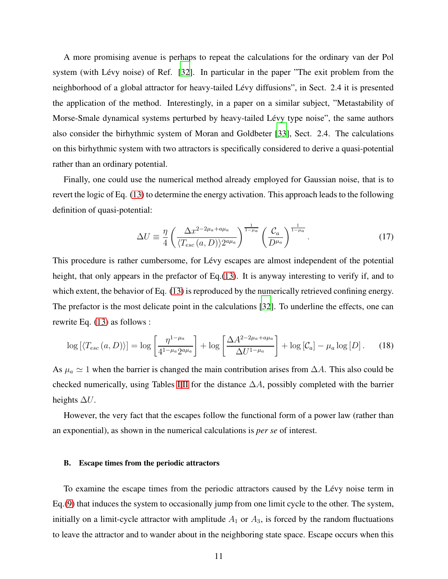A more promising avenue is perhaps to repeat the calculations for the ordinary van der Pol system (with Lévy noise) of Ref. [\[32](#page-19-11)]. In particular in the paper "The exit problem from the neighborhood of a global attractor for heavy-tailed Lévy diffusions", in Sect. 2.4 it is presented the application of the method. Interestingly, in a paper on a similar subject, "Metastability of Morse-Smale dynamical systems perturbed by heavy-tailed Lévy type noise", the same authors also consider the birhythmic system of Moran and Goldbeter [\[33\]](#page-19-12), Sect. 2.4. The calculations on this birhythmic system with two attractors is specifically considered to derive a quasi-potential rather than an ordinary potential.

Finally, one could use the numerical method already employed for Gaussian noise, that is to revert the logic of Eq. [\(13\)](#page-8-1) to determine the energy activation. This approach leads to the following definition of quasi-potential:

$$
\Delta U \equiv \frac{\eta}{4} \left( \frac{\Delta x^{2-2\mu_a + a\mu_a}}{\langle T_{esc}(a, D) \rangle 2^{a\mu_a}} \right)^{\frac{1}{1-\mu_a}} \left( \frac{\mathcal{C}_a}{D^{\mu_a}} \right)^{\frac{1}{1-\mu_a}}.
$$
\n(17)

This procedure is rather cumbersome, for Lévy escapes are almost independent of the potential height, that only appears in the prefactor of Eq.[\(13\)](#page-8-1). It is anyway interesting to verify if, and to which extent, the behavior of Eq. [\(13\)](#page-8-1) is reproduced by the numerically retrieved confining energy. The prefactor is the most delicate point in the calculations [\[32](#page-19-11)]. To underline the effects, one can rewrite Eq. [\(13\)](#page-8-1) as follows :

<span id="page-10-0"></span>
$$
\log\left[\langle T_{esc}\left(a,D\right)\rangle\right] = \log\left[\frac{\eta^{1-\mu_a}}{4^{1-\mu_a}2^{a\mu_a}}\right] + \log\left[\frac{\Delta A^{2-2\mu_a+a\mu_a}}{\Delta U^{1-\mu_a}}\right] + \log\left[\mathcal{C}_a\right] - \mu_a\log\left[D\right].\tag{18}
$$

As  $\mu_a \simeq 1$  when the barrier is changed the main contribution arises from  $\Delta A$ . This also could be checked numerically, using Tables [I](#page-4-0)[,II](#page-4-1) for the distance  $\Delta A$ , possibly completed with the barrier heights  $\Delta U$ .

However, the very fact that the escapes follow the functional form of a power law (rather than an exponential), as shown in the numerical calculations is *per se* of interest.

### B. Escape times from the periodic attractors

To examine the escape times from the periodic attractors caused by the Lévy noise term in Eq.[\(9\)](#page-6-1) that induces the system to occasionally jump from one limit cycle to the other. The system, initially on a limit-cycle attractor with amplitude  $A_1$  or  $A_3$ , is forced by the random fluctuations to leave the attractor and to wander about in the neighboring state space. Escape occurs when this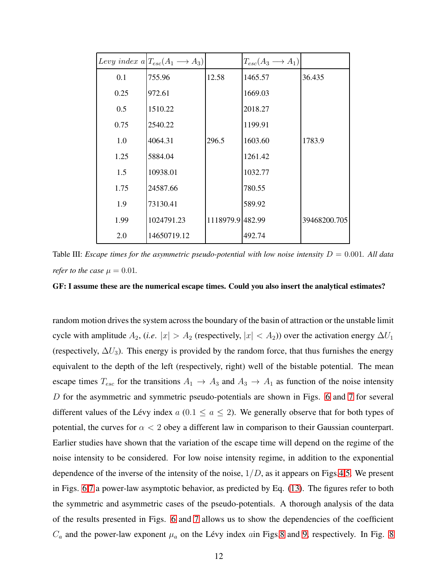|      | Levy index $a T_{esc}(A_1 \rightarrow A_3)$ |                  | $T_{esc}(A_3 \longrightarrow A_1)$ |              |
|------|---------------------------------------------|------------------|------------------------------------|--------------|
| 0.1  | 755.96                                      | 12.58            | 1465.57                            | 36.435       |
| 0.25 | 972.61                                      |                  | 1669.03                            |              |
| 0.5  | 1510.22                                     |                  | 2018.27                            |              |
| 0.75 | 2540.22                                     |                  | 1199.91                            |              |
| 1.0  | 4064.31                                     | 296.5            | 1603.60                            | 1783.9       |
| 1.25 | 5884.04                                     |                  | 1261.42                            |              |
| 1.5  | 10938.01                                    |                  | 1032.77                            |              |
| 1.75 | 24587.66                                    |                  | 780.55                             |              |
| 1.9  | 73130.41                                    |                  | 589.92                             |              |
| 1.99 | 1024791.23                                  | 1118979.9 482.99 |                                    | 39468200.705 |
| 2.0  | 14650719.12                                 |                  | 492.74                             |              |

<span id="page-11-0"></span>Table III: *Escape times for the asymmetric pseudo-potential with low noise intensity* D = 0.001*. All data refer to the case*  $\mu = 0.01$ *.* 

GF: I assume these are the numerical escape times. Could you also insert the analytical estimates?

random motion drives the system across the boundary of the basin of attraction or the unstable limit cycle with amplitude  $A_2$ , (*i.e.*  $|x| > A_2$  (respectively,  $|x| < A_2$ )) over the activation energy  $\Delta U_1$ (respectively,  $\Delta U_3$ ). This energy is provided by the random force, that thus furnishes the energy equivalent to the depth of the left (respectively, right) well of the bistable potential. The mean escape times  $T_{esc}$  for the transitions  $A_1 \rightarrow A_3$  and  $A_3 \rightarrow A_1$  as function of the noise intensity D for the asymmetric and symmetric pseudo-potentials are shown in Figs. [6](#page-24-0) and [7](#page-25-0) for several different values of the Lévy index  $a$  (0.1  $\le a \le 2$ ). We generally observe that for both types of potential, the curves for  $\alpha < 2$  obey a different law in comparison to their Gaussian counterpart. Earlier studies have shown that the variation of the escape time will depend on the regime of the noise intensity to be considered. For low noise intensity regime, in addition to the exponential dependence of the inverse of the intensity of the noise,  $1/D$ , as it appears on Figs[.4](#page-23-1)[,5.](#page-24-1) We present in Figs. [6,](#page-24-0)[7](#page-25-0) a power-law asymptotic behavior, as predicted by Eq. [\(13\)](#page-8-1). The figures refer to both the symmetric and asymmetric cases of the pseudo-potentials. A thorough analysis of the data of the results presented in Figs. [6](#page-24-0) and [7](#page-25-0) allows us to show the dependencies of the coefficient  $C_a$  and the power-law exponent  $\mu_a$  on the Lévy index ain Figs[.8](#page-25-1) and [9,](#page-26-0) respectively. In Fig. [8](#page-25-1)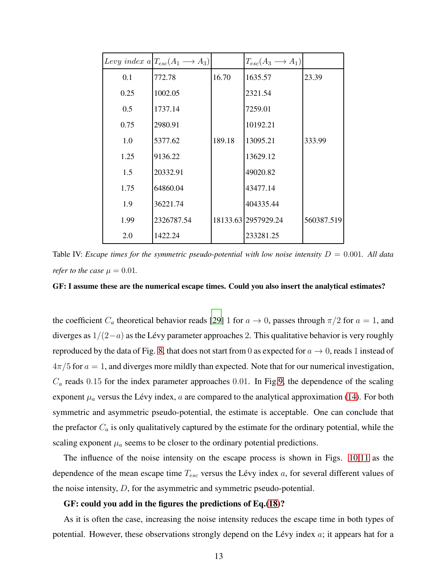|      | Levy index $a T_{esc}(A_1 \rightarrow A_3)$ |        | $T_{esc}(A_3 \longrightarrow A_1)$ |            |
|------|---------------------------------------------|--------|------------------------------------|------------|
| 0.1  | 772.78                                      | 16.70  | 1635.57                            | 23.39      |
| 0.25 | 1002.05                                     |        | 2321.54                            |            |
| 0.5  | 1737.14                                     |        | 7259.01                            |            |
| 0.75 | 2980.91                                     |        | 10192.21                           |            |
| 1.0  | 5377.62                                     | 189.18 | 13095.21                           | 333.99     |
| 1.25 | 9136.22                                     |        | 13629.12                           |            |
| 1.5  | 20332.91                                    |        | 49020.82                           |            |
| 1.75 | 64860.04                                    |        | 43477.14                           |            |
| 1.9  | 36221.74                                    |        | 404335.44                          |            |
| 1.99 | 2326787.54                                  |        | 18133.63 2957929.24                | 560387.519 |
| 2.0  | 1422.24                                     |        | 233281.25                          |            |

<span id="page-12-0"></span>Table IV: *Escape times for the symmetric pseudo-potential with low noise intensity* D = 0.001*. All data refer to the case*  $\mu = 0.01$ .

GF: I assume these are the numerical escape times. Could you also insert the analytical estimates?

the coefficient  $C_a$  theoretical behavior reads [\[29](#page-19-8)] 1 for  $a \to 0$ , passes through  $\pi/2$  for  $a = 1$ , and diverges as  $1/(2-a)$  as the Lévy parameter approaches 2. This qualitative behavior is very roughly reproduced by the data of Fig. [8,](#page-25-1) that does not start from 0 as expected for  $a \to 0$ , reads 1 instead of  $4\pi/5$  for  $a = 1$ , and diverges more mildly than expected. Note that for our numerical investigation,  $C_a$  reads 0.15 for the index parameter approaches 0.01. In Fig[.9,](#page-26-0) the dependence of the scaling exponent  $\mu_a$  versus the Lévy index, a are compared to the analytical approximation [\(14\)](#page-9-2). For both symmetric and asymmetric pseudo-potential, the estimate is acceptable. One can conclude that the prefactor  $C_a$  is only qualitatively captured by the estimate for the ordinary potential, while the scaling exponent  $\mu_a$  seems to be closer to the ordinary potential predictions.

The influence of the noise intensity on the escape process is shown in Figs. [10](#page-27-0)[,11](#page-28-0) as the dependence of the mean escape time  $T_{esc}$  versus the Lévy index  $a$ , for several different values of the noise intensity, D, for the asymmetric and symmetric pseudo-potential.

### GF: could you add in the figures the predictions of Eq.[\(18\)](#page-10-0)?

As it is often the case, increasing the noise intensity reduces the escape time in both types of potential. However, these observations strongly depend on the Lévy index  $a$ ; it appears hat for a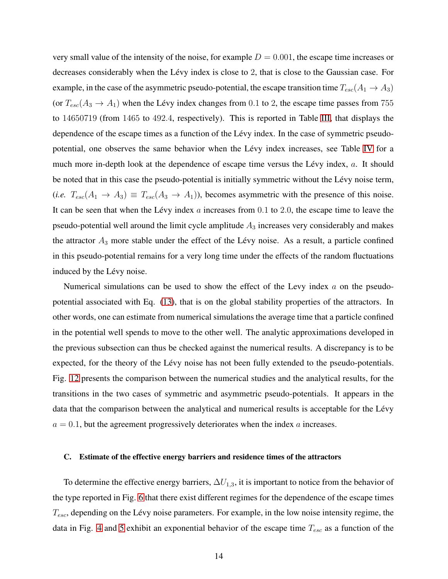very small value of the intensity of the noise, for example  $D = 0.001$ , the escape time increases or decreases considerably when the Lévy index is close to 2, that is close to the Gaussian case. For example, in the case of the asymmetric pseudo-potential, the escape transition time  $T_{esc}(A_1 \rightarrow A_3)$ (or  $T_{esc}(A_3 \rightarrow A_1)$ ) when the Lévy index changes from 0.1 to 2, the escape time passes from 755 to 14650719 (from 1465 to 492.4, respectively). This is reported in Table [III,](#page-11-0) that displays the dependence of the escape times as a function of the Lévy index. In the case of symmetric pseudo-potential, one observes the same behavior when the Lévy index increases, see Table [IV](#page-12-0) for a much more in-depth look at the dependence of escape time versus the Lévy index,  $a$ . It should be noted that in this case the pseudo-potential is initially symmetric without the Lévy noise term,  $(i.e. T_{esc}(A_1 \rightarrow A_3) \equiv T_{esc}(A_3 \rightarrow A_1)$ , becomes asymmetric with the presence of this noise. It can be seen that when the Lévy index  $a$  increases from  $0.1$  to  $2.0$ , the escape time to leave the pseudo-potential well around the limit cycle amplitude  $A_3$  increases very considerably and makes the attractor  $A_3$  more stable under the effect of the Lévy noise. As a result, a particle confined in this pseudo-potential remains for a very long time under the effects of the random fluctuations induced by the Lévy noise.

Numerical simulations can be used to show the effect of the Levy index  $a$  on the pseudopotential associated with Eq. [\(13\)](#page-8-1), that is on the global stability properties of the attractors. In other words, one can estimate from numerical simulations the average time that a particle confined in the potential well spends to move to the other well. The analytic approximations developed in the previous subsection can thus be checked against the numerical results. A discrepancy is to be expected, for the theory of the Lévy noise has not been fully extended to the pseudo-potentials. Fig. [12](#page-29-0) presents the comparison between the numerical studies and the analytical results, for the transitions in the two cases of symmetric and asymmetric pseudo-potentials. It appears in the data that the comparison between the analytical and numerical results is acceptable for the Lévy  $a = 0.1$ , but the agreement progressively deteriorates when the index a increases.

## C. Estimate of the effective energy barriers and residence times of the attractors

To determine the effective energy barriers,  $\Delta U_{1,3}$ , it is important to notice from the behavior of the type reported in Fig. [6](#page-24-0) that there exist different regimes for the dependence of the escape times  $T_{esc}$ , depending on the Lévy noise parameters. For example, in the low noise intensity regime, the data in Fig. [4](#page-23-1) and [5](#page-24-1) exhibit an exponential behavior of the escape time  $T_{esc}$  as a function of the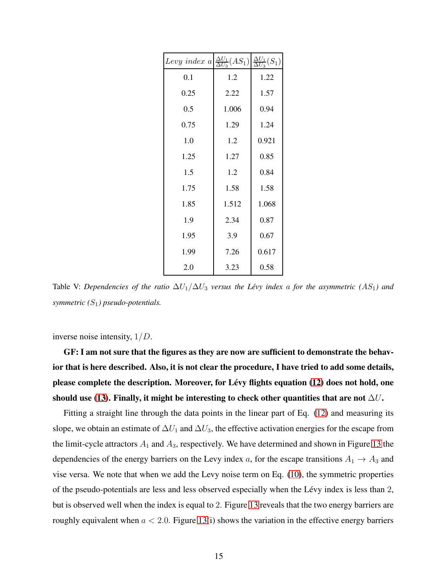| Levy index $a\left \frac{\Delta U_1}{\Delta U_3}(AS_1)\right $ |       | $\frac{\Delta U_1}{\Delta U_3}(S_1)$ |
|----------------------------------------------------------------|-------|--------------------------------------|
| 0.1                                                            | 1.2   | 1.22                                 |
| 0.25                                                           | 2.22  | 1.57                                 |
| 0.5                                                            | 1.006 | 0.94                                 |
| 0.75                                                           | 1.29  | 1.24                                 |
| 1.0                                                            | 1.2   | 0.921                                |
| 1.25                                                           | 1.27  | 0.85                                 |
| 1.5                                                            | 1.2   | 0.84                                 |
| 1.75                                                           | 1.58  | 1.58                                 |
| 1.85                                                           | 1.512 | 1.068                                |
| 1.9                                                            | 2.34  | 0.87                                 |
| 1.95                                                           | 3.9   | 0.67                                 |
| 1.99                                                           | 7.26  | 0.617                                |
| 2.0                                                            | 3.23  | 0.58                                 |

<span id="page-14-0"></span>Table V: *Dependencies of the ratio*  $\Delta U_1 / \Delta U_3$  *versus the Lévy index a for the asymmetric (AS*<sub>1</sub>) and *symmetric (*S1*) pseudo-potentials.*

inverse noise intensity, 1/D.

GF: I am not sure that the figures as they are now are sufficient to demonstrate the behavior that is here described. Also, it is not clear the procedure, I have tried to add some details, please complete the description. Moreover, for Lévy flights equation [\(12\)](#page-8-0) does not hold, one should use [\(13\)](#page-8-1). Finally, it might be interesting to check other quantities that are not  $\Delta U$ .

Fitting a straight line through the data points in the linear part of Eq. [\(12\)](#page-8-0) and measuring its slope, we obtain an estimate of  $\Delta U_1$  and  $\Delta U_3$ , the effective activation energies for the escape from the limit-cycle attractors  $A_1$  and  $A_3$ , respectively. We have determined and shown in Figure [13](#page-29-1) the dependencies of the energy barriers on the Levy index a, for the escape transitions  $A_1 \rightarrow A_3$  and vise versa. We note that when we add the Levy noise term on Eq. [\(10\)](#page-7-0), the symmetric properties of the pseudo-potentials are less and less observed especially when the Lévy index is less than 2, but is observed well when the index is equal to 2. Figure [13](#page-29-1) reveals that the two energy barriers are roughly equivalent when  $a < 2.0$ . Figure [13\(](#page-29-1)i) shows the variation in the effective energy barriers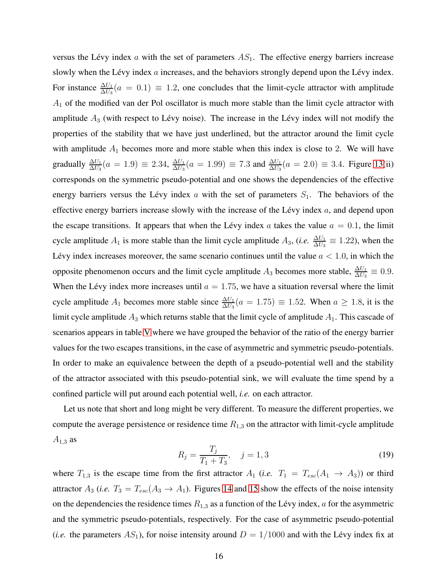versus the Lévy index a with the set of parameters  $AS<sub>1</sub>$ . The effective energy barriers increase slowly when the Lévy index  $a$  increases, and the behaviors strongly depend upon the Lévy index. For instance  $\frac{\Delta U_1}{\Delta U_3}(a = 0.1) \equiv 1.2$ , one concludes that the limit-cycle attractor with amplitude  $A_1$  of the modified van der Pol oscillator is much more stable than the limit cycle attractor with amplitude  $A_3$  (with respect to Lévy noise). The increase in the Lévy index will not modify the properties of the stability that we have just underlined, but the attractor around the limit cycle with amplitude  $A_1$  becomes more and more stable when this index is close to 2. We will have gradually  $\frac{\Delta U_1}{\Delta U_3}(a = 1.9) \equiv 2.34, \frac{\Delta U_1}{\Delta U_3}$  $\frac{\Delta U_1}{\Delta U_3}$  (*a* = 1.99)  $\equiv 7.3$  and  $\frac{\Delta U_1}{\Delta U_3}$  (*a* = 2.0)  $\equiv 3.4$ . Figure [13\(](#page-29-1)ii) corresponds on the symmetric pseudo-potential and one shows the dependencies of the effective energy barriers versus the Lévy index a with the set of parameters  $S_1$ . The behaviors of the effective energy barriers increase slowly with the increase of the Lévy index  $a$ , and depend upon the escape transitions. It appears that when the Lévy index a takes the value  $a = 0.1$ , the limit cycle amplitude  $A_1$  is more stable than the limit cycle amplitude  $A_3$ , (*i.e.*  $\frac{\Delta U_1}{\Delta U_3} \equiv 1.22$ ), when the Lévy index increases moreover, the same scenario continues until the value  $a < 1.0$ , in which the opposite phenomenon occurs and the limit cycle amplitude  $A_3$  becomes more stable,  $\frac{\Delta U_1}{\Delta U_3} \equiv 0.9$ . When the Lévy index more increases until  $a = 1.75$ , we have a situation reversal where the limit cycle amplitude  $A_1$  becomes more stable since  $\frac{\Delta U_1}{\Delta U_3}(a = 1.75) \equiv 1.52$ . When  $a \ge 1.8$ , it is the limit cycle amplitude  $A_3$  which returns stable that the limit cycle of amplitude  $A_1$ . This cascade of scenarios appears in table [V](#page-14-0) where we have grouped the behavior of the ratio of the energy barrier values for the two escapes transitions, in the case of asymmetric and symmetric pseudo-potentials. In order to make an equivalence between the depth of a pseudo-potential well and the stability of the attractor associated with this pseudo-potential sink, we will evaluate the time spend by a confined particle will put around each potential well, *i.e.* on each attractor.

Let us note that short and long might be very different. To measure the different properties, we compute the average persistence or residence time  $R_{1,3}$  on the attractor with limit-cycle amplitude  $A_{1,3}$  as

$$
R_j = \frac{T_j}{T_1 + T_3}, \quad j = 1, 3
$$
\n(19)

where  $T_{1,3}$  is the escape time from the first attractor  $A_1$  (*i.e.*  $T_1 = T_{esc}(A_1 \rightarrow A_3)$ ) or third attractor  $A_3$  (*i.e.*  $T_3 = T_{esc}(A_3 \rightarrow A_1)$ . Figures [14](#page-30-0) and [15](#page-30-1) show the effects of the noise intensity on the dependencies the residence times  $R_{1,3}$  as a function of the Lévy index, a for the asymmetric and the symmetric pseudo-potentials, respectively. For the case of asymmetric pseudo-potential (*i.e.* the parameters  $AS_1$ ), for noise intensity around  $D = 1/1000$  and with the Lévy index fix at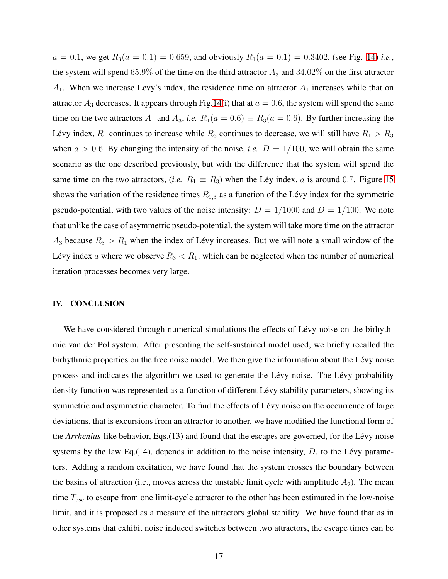$a = 0.1$ , we get  $R_3(a = 0.1) = 0.659$ , and obviously  $R_1(a = 0.1) = 0.3402$ , (see Fig. [14\)](#page-30-0) *i.e.*, the system will spend  $65.9\%$  of the time on the third attractor  $A_3$  and  $34.02\%$  on the first attractor  $A_1$ . When we increase Levy's index, the residence time on attractor  $A_1$  increases while that on attractor  $A_3$  decreases. It appears through Fig[.14\(](#page-30-0)i) that at  $a = 0.6$ , the system will spend the same time on the two attractors  $A_1$  and  $A_3$ , *i.e.*  $R_1(a = 0.6) \equiv R_3(a = 0.6)$ . By further increasing the Lévy index,  $R_1$  continues to increase while  $R_3$  continues to decrease, we will still have  $R_1 > R_3$ when  $a > 0.6$ . By changing the intensity of the noise, *i.e.*  $D = 1/100$ , we will obtain the same scenario as the one described previously, but with the difference that the system will spend the same time on the two attractors, (*i.e.*  $R_1 \equiv R_3$ ) when the Léy index, a is around 0.7. Figure [15](#page-30-1) shows the variation of the residence times  $R_{1,3}$  as a function of the Lévy index for the symmetric pseudo-potential, with two values of the noise intensity:  $D = 1/1000$  and  $D = 1/100$ . We note that unlike the case of asymmetric pseudo-potential, the system will take more time on the attractor  $A_3$  because  $R_3 > R_1$  when the index of Lévy increases. But we will note a small window of the Lévy index a where we observe  $R_3 < R_1$ , which can be neglected when the number of numerical iteration processes becomes very large.

## IV. CONCLUSION

We have considered through numerical simulations the effects of Lévy noise on the birhythmic van der Pol system. After presenting the self-sustained model used, we briefly recalled the birhythmic properties on the free noise model. We then give the information about the Lévy noise process and indicates the algorithm we used to generate the Lévy noise. The Lévy probability density function was represented as a function of different Lévy stability parameters, showing its symmetric and asymmetric character. To find the effects of Lévy noise on the occurrence of large deviations, that is excursions from an attractor to another, we have modified the functional form of the *Arrhenius*-like behavior, Eqs.(13) and found that the escapes are governed, for the Lévy noise systems by the law Eq. (14), depends in addition to the noise intensity,  $D$ , to the Lévy parameters. Adding a random excitation, we have found that the system crosses the boundary between the basins of attraction (i.e., moves across the unstable limit cycle with amplitude  $A_2$ ). The mean time  $T_{esc}$  to escape from one limit-cycle attractor to the other has been estimated in the low-noise limit, and it is proposed as a measure of the attractors global stability. We have found that as in other systems that exhibit noise induced switches between two attractors, the escape times can be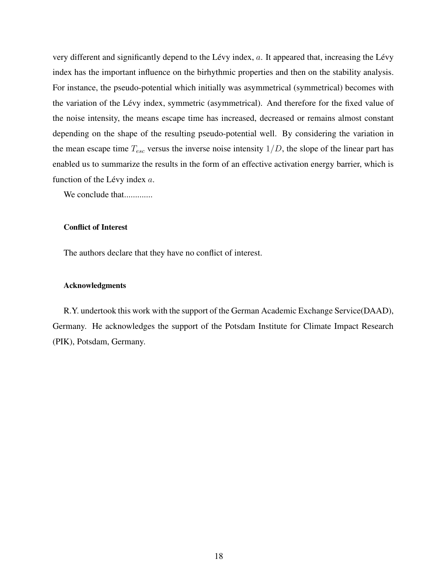very different and significantly depend to the Lévy index,  $a$ . It appeared that, increasing the Lévy index has the important influence on the birhythmic properties and then on the stability analysis. For instance, the pseudo-potential which initially was asymmetrical (symmetrical) becomes with the variation of the Lévy index, symmetric (asymmetrical). And therefore for the fixed value of the noise intensity, the means escape time has increased, decreased or remains almost constant depending on the shape of the resulting pseudo-potential well. By considering the variation in the mean escape time  $T_{esc}$  versus the inverse noise intensity  $1/D$ , the slope of the linear part has enabled us to summarize the results in the form of an effective activation energy barrier, which is function of the Lévy index  $a$ .

We conclude that.............

### Conflict of Interest

The authors declare that they have no conflict of interest.

### Acknowledgments

R.Y. undertook this work with the support of the German Academic Exchange Service(DAAD), Germany. He acknowledges the support of the Potsdam Institute for Climate Impact Research (PIK), Potsdam, Germany.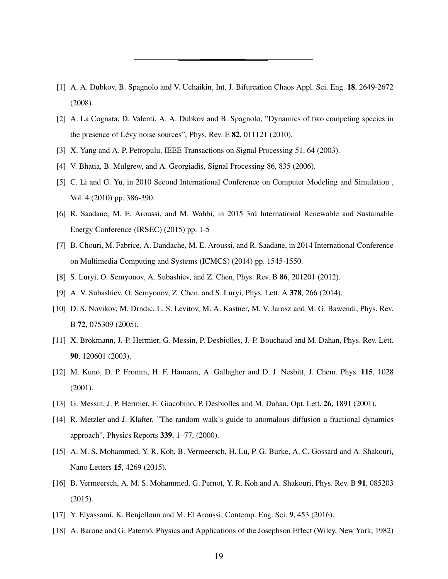- <span id="page-18-0"></span>[1] A. A. Dubkov, B. Spagnolo and V. Uchaikin, Int. J. Bifurcation Chaos Appl. Sci. Eng. 18, 2649-2672 (2008).
- <span id="page-18-1"></span>[2] A. La Cognata, D. Valenti, A. A. Dubkov and B. Spagnolo, "Dynamics of two competing species in the presence of Lévy noise sources", Phys. Rev. E  $82$ , 011121 (2010).
- <span id="page-18-3"></span><span id="page-18-2"></span>[3] X. Yang and A. P. Petropulu, IEEE Transactions on Signal Processing 51, 64 (2003).
- [4] V. Bhatia, B. Mulgrew, and A. Georgiadis, Signal Processing 86, 835 (2006).
- <span id="page-18-4"></span>[5] C. Li and G. Yu, in 2010 Second International Conference on Computer Modeling and Simulation , Vol. 4 (2010) pp. 386-390.
- [6] R. Saadane, M. E. Aroussi, and M. Wahbi, in 2015 3rd International Renewable and Sustainable Energy Conference (IRSEC) (2015) pp. 1-5
- <span id="page-18-5"></span>[7] B. Chouri, M. Fabrice, A. Dandache, M. E. Aroussi, and R. Saadane, in 2014 International Conference on Multimedia Computing and Systems (ICMCS) (2014) pp. 1545-1550.
- <span id="page-18-6"></span>[8] S. Luryi, O. Semyonov, A. Subashiev, and Z. Chen, Phys. Rev. B 86, 201201 (2012).
- <span id="page-18-7"></span>[9] A. V. Subashiev, O. Semyonov, Z. Chen, and S. Luryi, Phys. Lett. A 378, 266 (2014).
- <span id="page-18-8"></span>[10] D. S. Novikov, M. Drndic, L. S. Levitov, M. A. Kastner, M. V. Jarosz and M. G. Bawendi, Phys. Rev. B 72, 075309 (2005).
- <span id="page-18-9"></span>[11] X. Brokmann, J.-P. Hermier, G. Messin, P. Desbiolles, J.-P. Bouchaud and M. Dahan, Phys. Rev. Lett. 90, 120601 (2003).
- [12] M. Kuno, D. P. Fromm, H. F. Hamann, A. Gallagher and D. J. Nesbitt, J. Chem. Phys. 115, 1028 (2001).
- <span id="page-18-10"></span>[13] G. Messin, J. P. Hermier, E. Giacobino, P. Desbiolles and M. Dahan, Opt. Lett. 26, 1891 (2001).
- <span id="page-18-11"></span>[14] R. Metzler and J. Klafter, "The random walk's guide to anomalous diffusion a fractional dynamics approach", Physics Reports 339, 1–77, (2000).
- <span id="page-18-12"></span>[15] A. M. S. Mohammed, Y. R. Koh, B. Vermeersch, H. Lu, P. G. Burke, A. C. Gossard and A. Shakouri, Nano Letters 15, 4269 (2015).
- <span id="page-18-13"></span>[16] B. Vermeersch, A. M. S. Mohammed, G. Pernot, Y. R. Koh and A. Shakouri, Phys. Rev. B 91, 085203 (2015).
- <span id="page-18-14"></span>[17] Y. Elyassami, K. Benjelloun and M. El Aroussi, Contemp. Eng. Sci. 9, 453 (2016).
- <span id="page-18-15"></span>[18] A. Barone and G. Paternó, Physics and Applications of the Josephson Effect (Wiley, New York, 1982)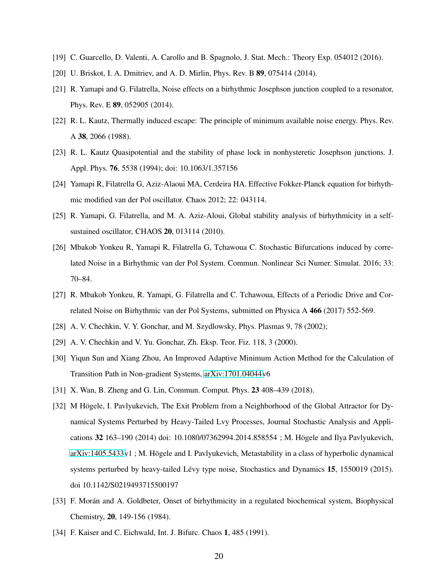- <span id="page-19-1"></span><span id="page-19-0"></span>[19] C. Guarcello, D. Valenti, A. Carollo and B. Spagnolo, J. Stat. Mech.: Theory Exp. 054012 (2016).
- <span id="page-19-2"></span>[20] U. Briskot, I. A. Dmitriev, and A. D. Mirlin, Phys. Rev. B **89**, 075414 (2014).
- [21] R. Yamapi and G. Filatrella, Noise effects on a birhythmic Josephson junction coupled to a resonator, Phys. Rev. E 89, 052905 (2014).
- <span id="page-19-15"></span>[22] R. L. Kautz, Thermally induced escape: The principle of minimum available noise energy. Phys. Rev. A 38, 2066 (1988).
- <span id="page-19-3"></span>[23] R. L. Kautz Quasipotential and the stability of phase lock in nonhysteretic Josephson junctions. J. Appl. Phys. 76, 5538 (1994); doi: 10.1063/1.357156
- <span id="page-19-4"></span>[24] Yamapi R, Filatrella G, Aziz-Alaoui MA, Cerdeira HA. Effective Fokker-Planck equation for birhythmic modified van der Pol oscillator. Chaos 2012; 22: 043114.
- <span id="page-19-14"></span>[25] R. Yamapi, G. Filatrella, and M. A. Aziz-Aloui, Global stability analysis of birhythmicity in a selfsustained oscillator, CHAOS 20, 013114 (2010).
- <span id="page-19-5"></span>[26] Mbakob Yonkeu R, Yamapi R, Filatrella G, Tchawoua C. Stochastic Bifurcations induced by correlated Noise in a Birhythmic van der Pol System. Commun. Nonlinear Sci Numer. Simulat. 2016; 33: 70–84.
- <span id="page-19-6"></span>[27] R. Mbakob Yonkeu, R. Yamapi, G. Filatrella and C. Tchawoua, Effects of a Periodic Drive and Correlated Noise on Birhythmic van der Pol Systems, submitted on Physica A 466 (2017) 552-569.
- <span id="page-19-7"></span>[28] A. V. Chechkin, V. Y. Gonchar, and M. Szydlowsky, Phys. Plasmas 9, 78 (2002);
- <span id="page-19-8"></span>[29] A. V. Chechkin and V. Yu. Gonchar, Zh. Eksp. Teor. Fiz. 118, 3 (2000).
- <span id="page-19-9"></span>[30] Yiqun Sun and Xiang Zhou, An Improved Adaptive Minimum Action Method for the Calculation of Transition Path in Non-gradient Systems, [arXiv:1701.04044v](http://arxiv.org/abs/1701.04044)6
- <span id="page-19-10"></span>[31] X. Wan, B. Zheng and G. Lin, Commun. Comput. Phys. 23 408–439 (2018).
- <span id="page-19-11"></span>[32] M Högele, I. Pavlyukevich, The Exit Problem from a Neighborhood of the Global Attractor for Dynamical Systems Perturbed by Heavy-Tailed Lvy Processes, Journal Stochastic Analysis and Applications 32 163–190 (2014) doi: 10.1080/07362994.2014.858554 ; M. Högele and Ilya Pavlyukevich, [arXiv:1405.5433v](http://arxiv.org/abs/1405.5433)1; M. Högele and I. Pavlyukevich, Metastability in a class of hyperbolic dynamical systems perturbed by heavy-tailed Lévy type noise, Stochastics and Dynamics 15, 1550019 (2015). doi 10.1142/S0219493715500197
- <span id="page-19-12"></span>[33] F. Morán and A. Goldbeter, Onset of birhythmicity in a regulated biochemical system, Biophysical Chemistry, 20, 149-156 (1984).
- <span id="page-19-13"></span>[34] F. Kaiser and C. Eichwald, Int. J. Bifurc. Chaos 1, 485 (1991).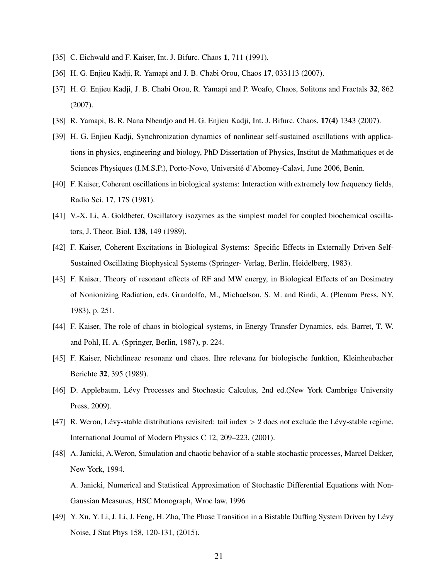- <span id="page-20-4"></span><span id="page-20-3"></span>[35] C. Eichwald and F. Kaiser, Int. J. Bifurc. Chaos 1, 711 (1991).
- <span id="page-20-0"></span>[36] H. G. Enjieu Kadji, R. Yamapi and J. B. Chabi Orou, Chaos 17, 033113 (2007).
- [37] H. G. Enjieu Kadji, J. B. Chabi Orou, R. Yamapi and P. Woafo, Chaos, Solitons and Fractals 32, 862 (2007).
- <span id="page-20-5"></span><span id="page-20-1"></span>[38] R. Yamapi, B. R. Nana Nbendjo and H. G. Enjieu Kadji, Int. J. Bifurc. Chaos, 17(4) 1343 (2007).
- [39] H. G. Enjieu Kadji, Synchronization dynamics of nonlinear self-sustained oscillations with applications in physics, engineering and biology, PhD Dissertation of Physics, Institut de Mathmatiques et de Sciences Physiques (I.M.S.P.), Porto-Novo, Université d'Abomey-Calavi, June 2006, Benin.
- <span id="page-20-2"></span>[40] F. Kaiser, Coherent oscillations in biological systems: Interaction with extremely low frequency fields, Radio Sci. 17, 17S (1981).
- <span id="page-20-6"></span>[41] V.-X. Li, A. Goldbeter, Oscillatory isozymes as the simplest model for coupled biochemical oscillators, J. Theor. Biol. 138, 149 (1989).
- <span id="page-20-7"></span>[42] F. Kaiser, Coherent Excitations in Biological Systems: Specific Effects in Externally Driven Self-Sustained Oscillating Biophysical Systems (Springer- Verlag, Berlin, Heidelberg, 1983).
- [43] F. Kaiser, Theory of resonant effects of RF and MW energy, in Biological Effects of an Dosimetry of Nonionizing Radiation, eds. Grandolfo, M., Michaelson, S. M. and Rindi, A. (Plenum Press, NY, 1983), p. 251.
- [44] F. Kaiser, The role of chaos in biological systems, in Energy Transfer Dynamics, eds. Barret, T. W. and Pohl, H. A. (Springer, Berlin, 1987), p. 224.
- <span id="page-20-8"></span>[45] F. Kaiser, Nichtlineac resonanz und chaos. Ihre relevanz fur biologische funktion, Kleinheubacher Berichte 32, 395 (1989).
- <span id="page-20-9"></span>[46] D. Applebaum, Lévy Processes and Stochastic Calculus, 2nd ed.(New York Cambrige University Press, 2009).
- <span id="page-20-10"></span>[47] R. Weron, Lévy-stable distributions revisited: tail index  $> 2$  does not exclude the Lévy-stable regime, International Journal of Modern Physics C 12, 209–223, (2001).
- <span id="page-20-11"></span>[48] A. Janicki, A.Weron, Simulation and chaotic behavior of a-stable stochastic processes, Marcel Dekker, New York, 1994.

A. Janicki, Numerical and Statistical Approximation of Stochastic Differential Equations with Non-Gaussian Measures, HSC Monograph, Wroc law, 1996

<span id="page-20-12"></span>[49] Y. Xu, Y. Li, J. Li, J. Feng, H. Zha, The Phase Transition in a Bistable Duffing System Driven by Lévy Noise, J Stat Phys 158, 120-131, (2015).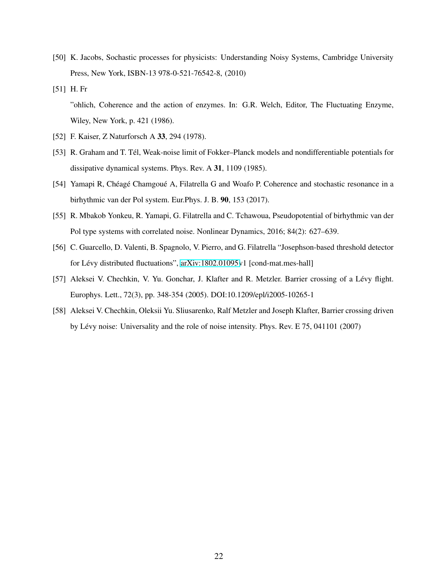- <span id="page-21-2"></span>[50] K. Jacobs, Sochastic processes for physicists: Understanding Noisy Systems, Cambridge University Press, New York, ISBN-13 978-0-521-76542-8, (2010)
- <span id="page-21-3"></span>[51] H. Fr "ohlich, Coherence and the action of enzymes. In: G.R. Welch, Editor, The Fluctuating Enzyme, Wiley, New York, p. 421 (1986).
- <span id="page-21-5"></span><span id="page-21-4"></span>[52] F. Kaiser, Z Naturforsch A 33, 294 (1978).
- [53] R. Graham and T. Tél, Weak-noise limit of Fokker–Planck models and nondifferentiable potentials for dissipative dynamical systems. Phys. Rev. A 31, 1109 (1985).
- <span id="page-21-6"></span>[54] Yamapi R, Chéagé Chamgoué A, Filatrella G and Woafo P. Coherence and stochastic resonance in a birhythmic van der Pol system. Eur.Phys. J. B. 90, 153 (2017).
- <span id="page-21-7"></span>[55] R. Mbakob Yonkeu, R. Yamapi, G. Filatrella and C. Tchawoua, Pseudopotential of birhythmic van der Pol type systems with correlated noise. Nonlinear Dynamics, 2016; 84(2): 627–639.
- <span id="page-21-8"></span>[56] C. Guarcello, D. Valenti, B. Spagnolo, V. Pierro, and G. Filatrella "Josephson-based threshold detector for Lévy distributed fluctuations", [arXiv:1802.01095v](http://arxiv.org/abs/1802.01095)1 [cond-mat.mes-hall]
- <span id="page-21-0"></span>[57] Aleksei V. Chechkin, V. Yu. Gonchar, J. Klafter and R. Metzler. Barrier crossing of a Lévy flight. Europhys. Lett., 72(3), pp. 348-354 (2005). DOI:10.1209/epl/i2005-10265-1
- <span id="page-21-1"></span>[58] Aleksei V. Chechkin, Oleksii Yu. Sliusarenko, Ralf Metzler and Joseph Klafter, Barrier crossing driven by Lévy noise: Universality and the role of noise intensity. Phys. Rev. E 75, 041101 (2007)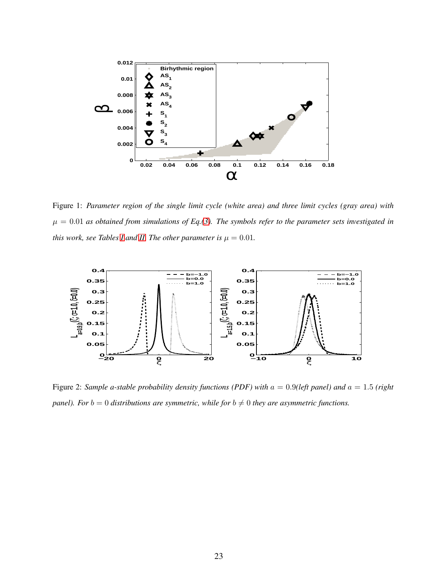

<span id="page-22-0"></span>Figure 1: *Parameter region of the single limit cycle (white area) and three limit cycles (gray area) with*  $\mu = 0.01$  as obtained from simulations of Eq.[\(3\)](#page-4-3). The symbols refer to the parameter sets investigated in *this work, see Tables [I](#page-4-0) and [II.](#page-4-1) The other parameter is*  $\mu = 0.01$ *.* 



<span id="page-22-1"></span>Figure 2: *Sample a-stable probability density functions (PDF) with* a = 0.9*(left panel) and* a = 1.5 *(right panel). For*  $b = 0$  *distributions are symmetric, while for*  $b \neq 0$  *they are asymmetric functions.*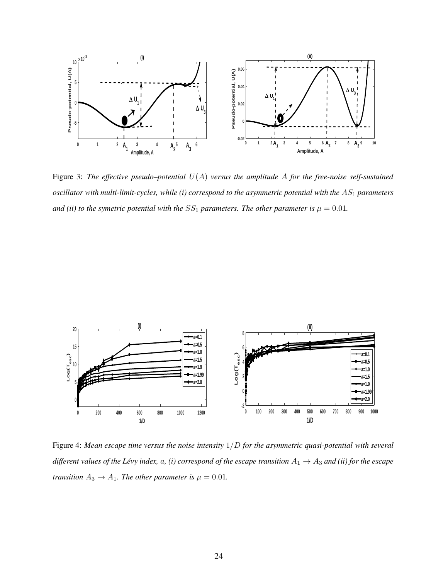

<span id="page-23-0"></span>Figure 3: *The effective pseudo–potential* U(A) *versus the amplitude* A *for the free-noise self-sustained oscillator with multi-limit-cycles, while (i) correspond to the asymmetric potential with the*  $AS<sub>1</sub>$  *parameters and (ii) to the symetric potential with the*  $SS_1$  *parameters. The other parameter is*  $\mu = 0.01$ *.* 



<span id="page-23-1"></span>Figure 4: *Mean escape time versus the noise intensity* 1/D *for the asymmetric quasi-potential with several different values of the Lévy index,*  $a$ *, (i) correspond of the escape transition*  $A_1 \rightarrow A_3$  *and (ii) for the escape transition*  $A_3 \rightarrow A_1$ *. The other parameter is*  $\mu = 0.01$ *.*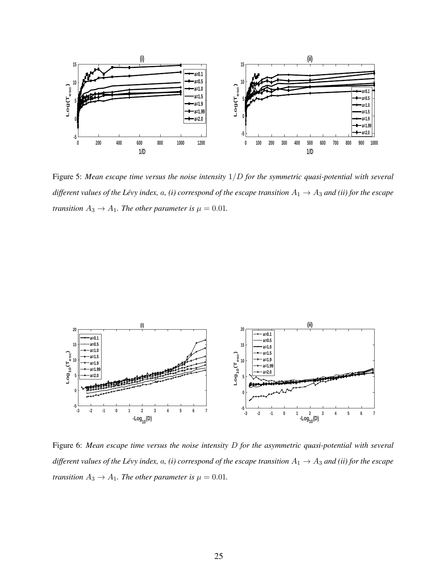

<span id="page-24-1"></span>Figure 5: *Mean escape time versus the noise intensity* 1/D *for the symmetric quasi-potential with several different values of the Lévy index,*  $a$ *, (i) correspond of the escape transition*  $A_1 \to A_3$  *and (ii) for the escape transition*  $A_3 \rightarrow A_1$ *. The other parameter is*  $\mu = 0.01$ *.* 



<span id="page-24-0"></span>Figure 6: *Mean escape time versus the noise intensity* D *for the asymmetric quasi-potential with several different values of the Lévy index,*  $a$ *, (i) correspond of the escape transition*  $A_1 \rightarrow A_3$  *and (ii) for the escape transition*  $A_3 \rightarrow A_1$ *. The other parameter is*  $\mu = 0.01$ *.*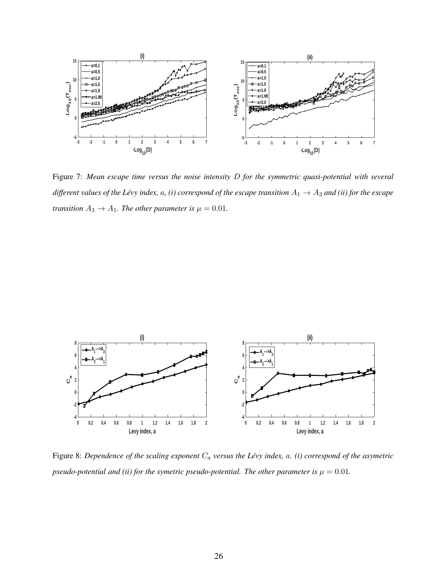

<span id="page-25-0"></span>Figure 7: *Mean escape time versus the noise intensity* D *for the symmetric quasi-potential with several different values of the Lévy index, a, (i) correspond of the escape transition*  $A_1 \to A_3$  *and (ii) for the escape transition*  $A_3 \rightarrow A_1$ *. The other parameter is*  $\mu = 0.01$ *.* 



<span id="page-25-1"></span>Figure 8: Dependence of the scaling exponent  $C_a$  versus the Lévy index,  $a$ . (i) correspond of the asymetric *pseudo-potential and (ii) for the symetric pseudo-potential. The other parameter is*  $\mu = 0.01$ *.*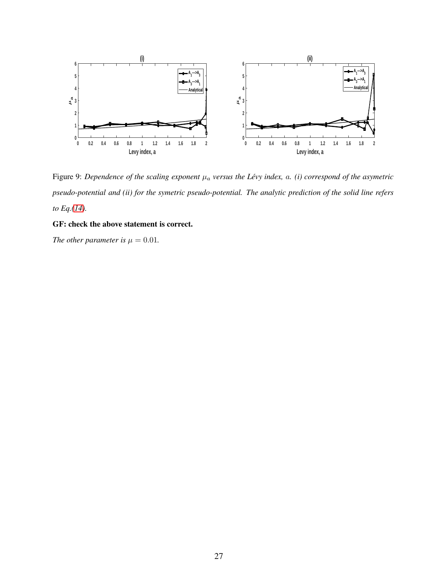

<span id="page-26-0"></span>Figure 9: *Dependence of the scaling exponent*  $\mu_a$  *versus the Lévy index, a. (i) correspond of the asymetric pseudo-potential and (ii) for the symetric pseudo-potential. The analytic prediction of the solid line refers to Eq.[\(14\)](#page-9-2).*

## GF: check the above statement is correct.

*The other parameter is*  $\mu = 0.01$ *.*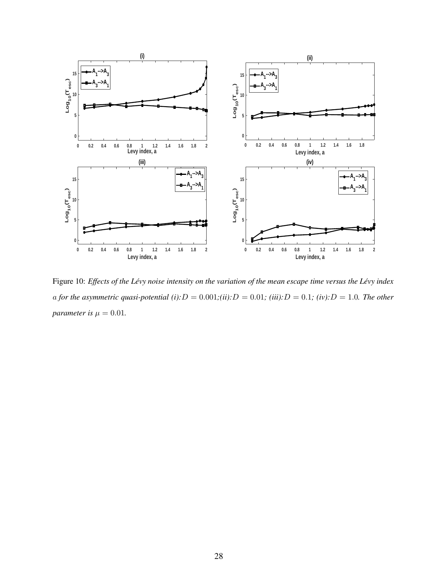

<span id="page-27-0"></span>Figure 10: *Effects of the Lévy noise intensity on the variation of the mean escape time versus the Lévy index* a for the asymmetric quasi-potential (i): $D = 0.001$ ; $(ii): D = 0.01$ ;  $(iii): D = 0.1$ ;  $(iv): D = 1.0$ *. The other parameter is*  $\mu = 0.01$ *.*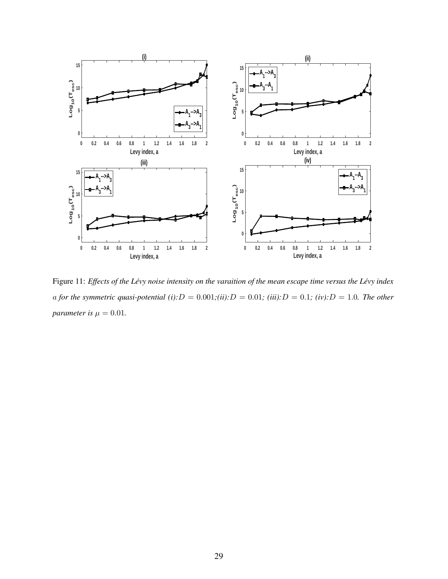

<span id="page-28-0"></span>Figure 11: *Effects of the Lévy noise intensity on the varaition of the mean escape time versus the Lévy index* a for the symmetric quasi-potential (i): $D = 0.001$ ;(ii): $D = 0.01$ ; (iii): $D = 0.1$ ; (iv): $D = 1.0$ *. The other parameter is*  $\mu = 0.01$ *.*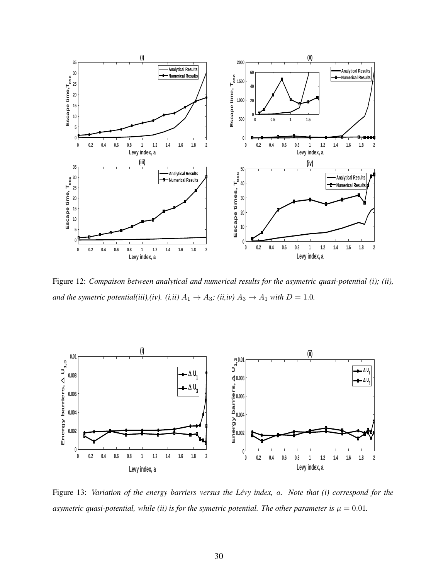

<span id="page-29-0"></span>Figure 12: *Compaison between analytical and numerical results for the asymetric quasi-potential (i); (ii), and the symetric potential(iii),(iv).* (*i,ii)*  $A_1 \rightarrow A_3$ ; (*ii,iv)*  $A_3 \rightarrow A_1$  *with*  $D = 1.0$ *.* 



<span id="page-29-1"></span>Figure 13: *Variation of the energy barriers versus the Lévy index, a. Note that (i) correspond for the asymetric quasi-potential, while (ii) is for the symetric potential. The other parameter is*  $\mu = 0.01$ *.*